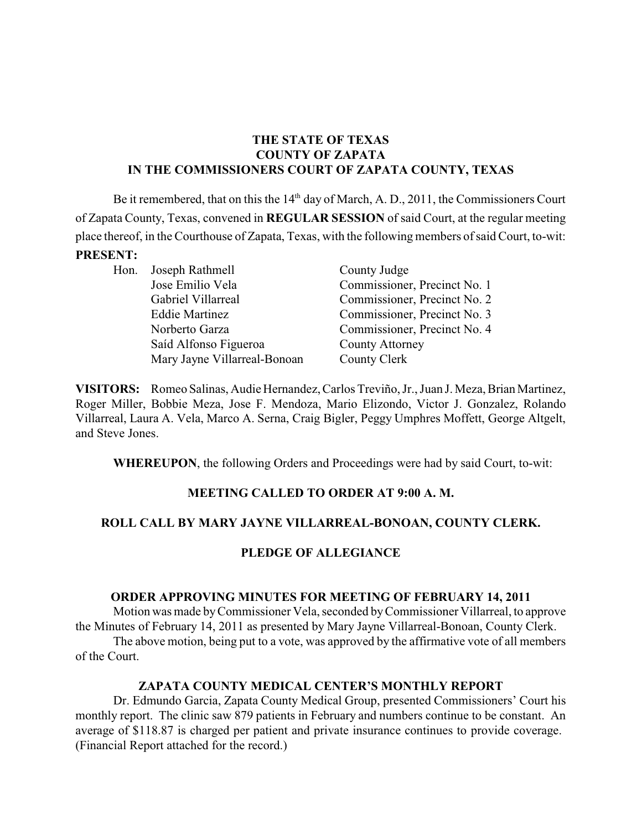# **THE STATE OF TEXAS COUNTY OF ZAPATA IN THE COMMISSIONERS COURT OF ZAPATA COUNTY, TEXAS**

Be it remembered, that on this the  $14<sup>th</sup>$  day of March, A. D., 2011, the Commissioners Court of Zapata County, Texas, convened in **REGULAR SESSION** of said Court, at the regular meeting place thereof, in the Courthouse of Zapata, Texas, with the following members of said Court, to-wit: **PRESENT:**

Hon. Joseph Rathmell County Judge Saíd Alfonso Figueroa County Attorney Mary Jayne Villarreal-Bonoan County Clerk

Jose Emilio Vela Commissioner, Precinct No. 1 Gabriel Villarreal Commissioner, Precinct No. 2 Eddie Martinez Commissioner, Precinct No. 3 Norberto Garza Commissioner, Precinct No. 4

**VISITORS:** Romeo Salinas, Audie Hernandez, Carlos Treviño, Jr., Juan J. Meza, Brian Martinez, Roger Miller, Bobbie Meza, Jose F. Mendoza, Mario Elizondo, Victor J. Gonzalez, Rolando Villarreal, Laura A. Vela, Marco A. Serna, Craig Bigler, Peggy Umphres Moffett, George Altgelt, and Steve Jones.

**WHEREUPON**, the following Orders and Proceedings were had by said Court, to-wit:

# **MEETING CALLED TO ORDER AT 9:00 A. M.**

# **ROLL CALL BY MARY JAYNE VILLARREAL-BONOAN, COUNTY CLERK.**

# **PLEDGE OF ALLEGIANCE**

# **ORDER APPROVING MINUTES FOR MEETING OF FEBRUARY 14, 2011**

Motion was made byCommissioner Vela, seconded byCommissioner Villarreal, to approve the Minutes of February 14, 2011 as presented by Mary Jayne Villarreal-Bonoan, County Clerk.

The above motion, being put to a vote, was approved by the affirmative vote of all members of the Court.

# **ZAPATA COUNTY MEDICAL CENTER'S MONTHLY REPORT**

Dr. Edmundo Garcia, Zapata County Medical Group, presented Commissioners' Court his monthly report. The clinic saw 879 patients in February and numbers continue to be constant. An average of \$118.87 is charged per patient and private insurance continues to provide coverage. (Financial Report attached for the record.)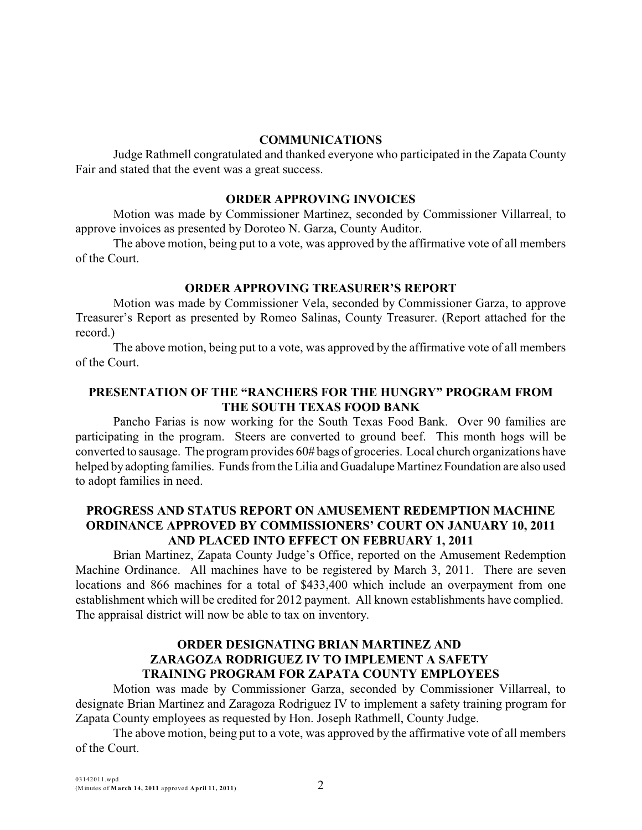#### **COMMUNICATIONS**

Judge Rathmell congratulated and thanked everyone who participated in the Zapata County Fair and stated that the event was a great success.

#### **ORDER APPROVING INVOICES**

Motion was made by Commissioner Martinez, seconded by Commissioner Villarreal, to approve invoices as presented by Doroteo N. Garza, County Auditor.

The above motion, being put to a vote, was approved by the affirmative vote of all members of the Court.

#### **ORDER APPROVING TREASURER'S REPORT**

Motion was made by Commissioner Vela, seconded by Commissioner Garza, to approve Treasurer's Report as presented by Romeo Salinas, County Treasurer. (Report attached for the record.)

The above motion, being put to a vote, was approved by the affirmative vote of all members of the Court.

# **PRESENTATION OF THE "RANCHERS FOR THE HUNGRY" PROGRAM FROM THE SOUTH TEXAS FOOD BANK**

Pancho Farias is now working for the South Texas Food Bank. Over 90 families are participating in the program. Steers are converted to ground beef. This month hogs will be converted to sausage. The program provides 60# bags of groceries. Local church organizations have helped by adopting families. Funds from the Lilia and Guadalupe Martinez Foundation are also used to adopt families in need.

# **PROGRESS AND STATUS REPORT ON AMUSEMENT REDEMPTION MACHINE ORDINANCE APPROVED BY COMMISSIONERS' COURT ON JANUARY 10, 2011 AND PLACED INTO EFFECT ON FEBRUARY 1, 2011**

Brian Martinez, Zapata County Judge's Office, reported on the Amusement Redemption Machine Ordinance. All machines have to be registered by March 3, 2011. There are seven locations and 866 machines for a total of \$433,400 which include an overpayment from one establishment which will be credited for 2012 payment. All known establishments have complied. The appraisal district will now be able to tax on inventory.

# **ORDER DESIGNATING BRIAN MARTINEZ AND ZARAGOZA RODRIGUEZ IV TO IMPLEMENT A SAFETY TRAINING PROGRAM FOR ZAPATA COUNTY EMPLOYEES**

Motion was made by Commissioner Garza, seconded by Commissioner Villarreal, to designate Brian Martinez and Zaragoza Rodriguez IV to implement a safety training program for Zapata County employees as requested by Hon. Joseph Rathmell, County Judge.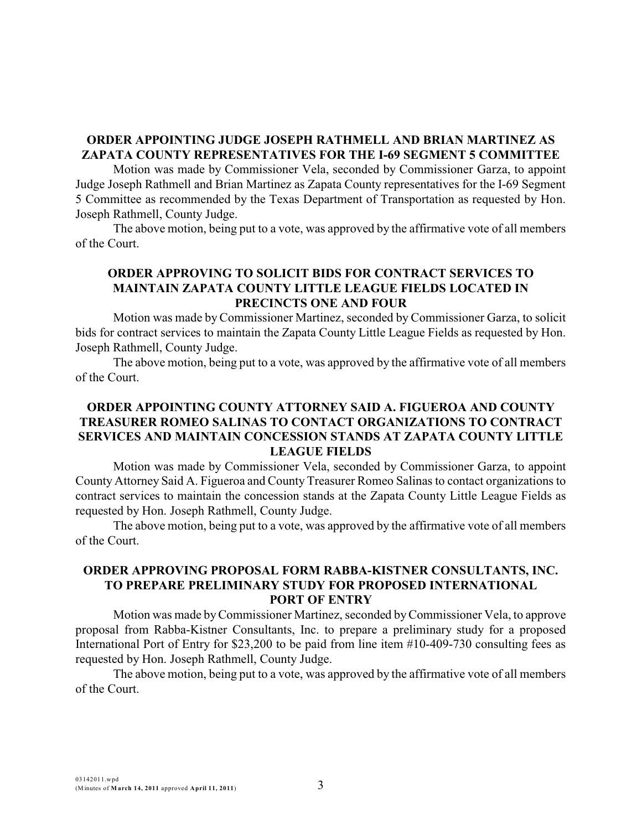# **ORDER APPOINTING JUDGE JOSEPH RATHMELL AND BRIAN MARTINEZ AS ZAPATA COUNTY REPRESENTATIVES FOR THE I-69 SEGMENT 5 COMMITTEE**

Motion was made by Commissioner Vela, seconded by Commissioner Garza, to appoint Judge Joseph Rathmell and Brian Martinez as Zapata County representatives for the I-69 Segment 5 Committee as recommended by the Texas Department of Transportation as requested by Hon. Joseph Rathmell, County Judge.

The above motion, being put to a vote, was approved by the affirmative vote of all members of the Court.

# **ORDER APPROVING TO SOLICIT BIDS FOR CONTRACT SERVICES TO MAINTAIN ZAPATA COUNTY LITTLE LEAGUE FIELDS LOCATED IN PRECINCTS ONE AND FOUR**

Motion was made byCommissioner Martinez, seconded by Commissioner Garza, to solicit bids for contract services to maintain the Zapata County Little League Fields as requested by Hon. Joseph Rathmell, County Judge.

The above motion, being put to a vote, was approved by the affirmative vote of all members of the Court.

# **ORDER APPOINTING COUNTY ATTORNEY SAID A. FIGUEROA AND COUNTY TREASURER ROMEO SALINAS TO CONTACT ORGANIZATIONS TO CONTRACT SERVICES AND MAINTAIN CONCESSION STANDS AT ZAPATA COUNTY LITTLE LEAGUE FIELDS**

Motion was made by Commissioner Vela, seconded by Commissioner Garza, to appoint County Attorney Said A. Figueroa and County Treasurer Romeo Salinas to contact organizations to contract services to maintain the concession stands at the Zapata County Little League Fields as requested by Hon. Joseph Rathmell, County Judge.

The above motion, being put to a vote, was approved by the affirmative vote of all members of the Court.

#### **ORDER APPROVING PROPOSAL FORM RABBA-KISTNER CONSULTANTS, INC. TO PREPARE PRELIMINARY STUDY FOR PROPOSED INTERNATIONAL PORT OF ENTRY**

Motion was made byCommissioner Martinez, seconded byCommissioner Vela, to approve proposal from Rabba-Kistner Consultants, Inc. to prepare a preliminary study for a proposed International Port of Entry for \$23,200 to be paid from line item #10-409-730 consulting fees as requested by Hon. Joseph Rathmell, County Judge.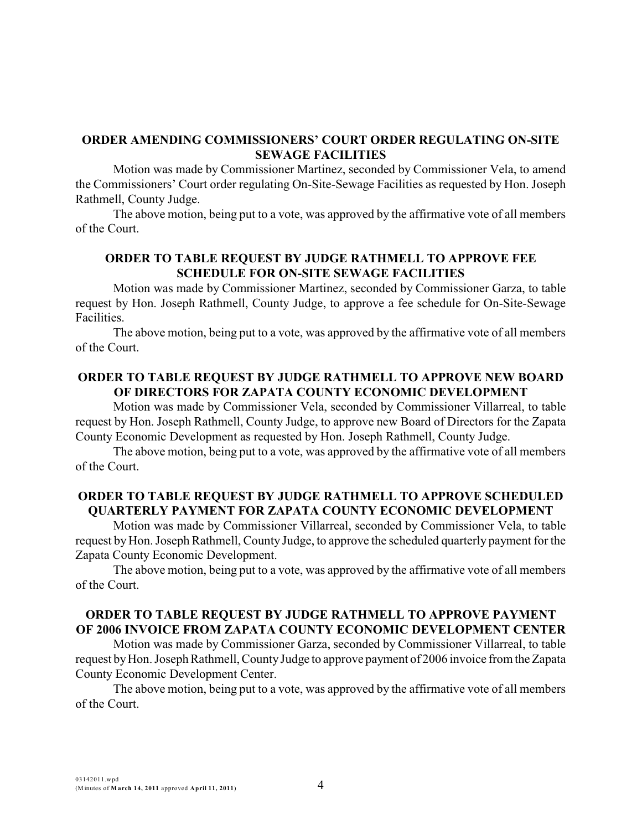#### **ORDER AMENDING COMMISSIONERS' COURT ORDER REGULATING ON-SITE SEWAGE FACILITIES**

Motion was made by Commissioner Martinez, seconded by Commissioner Vela, to amend the Commissioners' Court order regulating On-Site-Sewage Facilities as requested by Hon. Joseph Rathmell, County Judge.

The above motion, being put to a vote, was approved by the affirmative vote of all members of the Court.

# **ORDER TO TABLE REQUEST BY JUDGE RATHMELL TO APPROVE FEE SCHEDULE FOR ON-SITE SEWAGE FACILITIES**

Motion was made by Commissioner Martinez, seconded by Commissioner Garza, to table request by Hon. Joseph Rathmell, County Judge, to approve a fee schedule for On-Site-Sewage Facilities.

The above motion, being put to a vote, was approved by the affirmative vote of all members of the Court.

### **ORDER TO TABLE REQUEST BY JUDGE RATHMELL TO APPROVE NEW BOARD OF DIRECTORS FOR ZAPATA COUNTY ECONOMIC DEVELOPMENT**

Motion was made by Commissioner Vela, seconded by Commissioner Villarreal, to table request by Hon. Joseph Rathmell, County Judge, to approve new Board of Directors for the Zapata County Economic Development as requested by Hon. Joseph Rathmell, County Judge.

The above motion, being put to a vote, was approved by the affirmative vote of all members of the Court.

#### **ORDER TO TABLE REQUEST BY JUDGE RATHMELL TO APPROVE SCHEDULED QUARTERLY PAYMENT FOR ZAPATA COUNTY ECONOMIC DEVELOPMENT**

Motion was made by Commissioner Villarreal, seconded by Commissioner Vela, to table request by Hon. Joseph Rathmell, County Judge, to approve the scheduled quarterly payment for the Zapata County Economic Development.

The above motion, being put to a vote, was approved by the affirmative vote of all members of the Court.

#### **ORDER TO TABLE REQUEST BY JUDGE RATHMELL TO APPROVE PAYMENT OF 2006 INVOICE FROM ZAPATA COUNTY ECONOMIC DEVELOPMENT CENTER**

Motion was made by Commissioner Garza, seconded by Commissioner Villarreal, to table request byHon. Joseph Rathmell, CountyJudge to approve payment of 2006 invoice from the Zapata County Economic Development Center.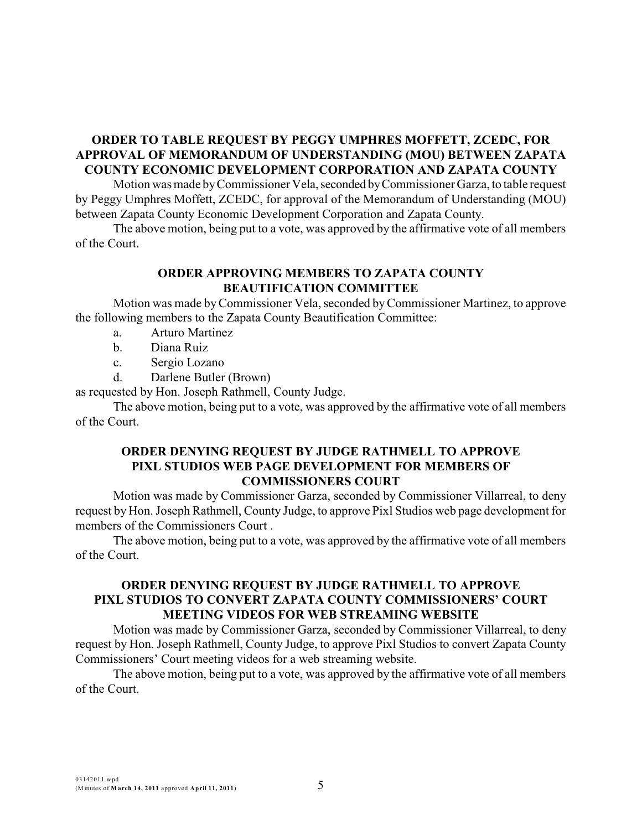# **ORDER TO TABLE REQUEST BY PEGGY UMPHRES MOFFETT, ZCEDC, FOR APPROVAL OF MEMORANDUM OF UNDERSTANDING (MOU) BETWEEN ZAPATA COUNTY ECONOMIC DEVELOPMENT CORPORATION AND ZAPATA COUNTY**

Motion was made by Commissioner Vela, seconded by Commissioner Garza, to table request by Peggy Umphres Moffett, ZCEDC, for approval of the Memorandum of Understanding (MOU) between Zapata County Economic Development Corporation and Zapata County.

The above motion, being put to a vote, was approved by the affirmative vote of all members of the Court.

#### **ORDER APPROVING MEMBERS TO ZAPATA COUNTY BEAUTIFICATION COMMITTEE**

Motion was made byCommissioner Vela, seconded byCommissioner Martinez, to approve the following members to the Zapata County Beautification Committee:

- a. Arturo Martinez
- b. Diana Ruiz
- c. Sergio Lozano
- d. Darlene Butler (Brown)

as requested by Hon. Joseph Rathmell, County Judge.

The above motion, being put to a vote, was approved by the affirmative vote of all members of the Court.

#### **ORDER DENYING REQUEST BY JUDGE RATHMELL TO APPROVE PIXL STUDIOS WEB PAGE DEVELOPMENT FOR MEMBERS OF COMMISSIONERS COURT**

Motion was made by Commissioner Garza, seconded by Commissioner Villarreal, to deny request by Hon. Joseph Rathmell, County Judge, to approve Pixl Studios web page development for members of the Commissioners Court .

The above motion, being put to a vote, was approved by the affirmative vote of all members of the Court.

#### **ORDER DENYING REQUEST BY JUDGE RATHMELL TO APPROVE PIXL STUDIOS TO CONVERT ZAPATA COUNTY COMMISSIONERS' COURT MEETING VIDEOS FOR WEB STREAMING WEBSITE**

Motion was made by Commissioner Garza, seconded by Commissioner Villarreal, to deny request by Hon. Joseph Rathmell, County Judge, to approve Pixl Studios to convert Zapata County Commissioners' Court meeting videos for a web streaming website.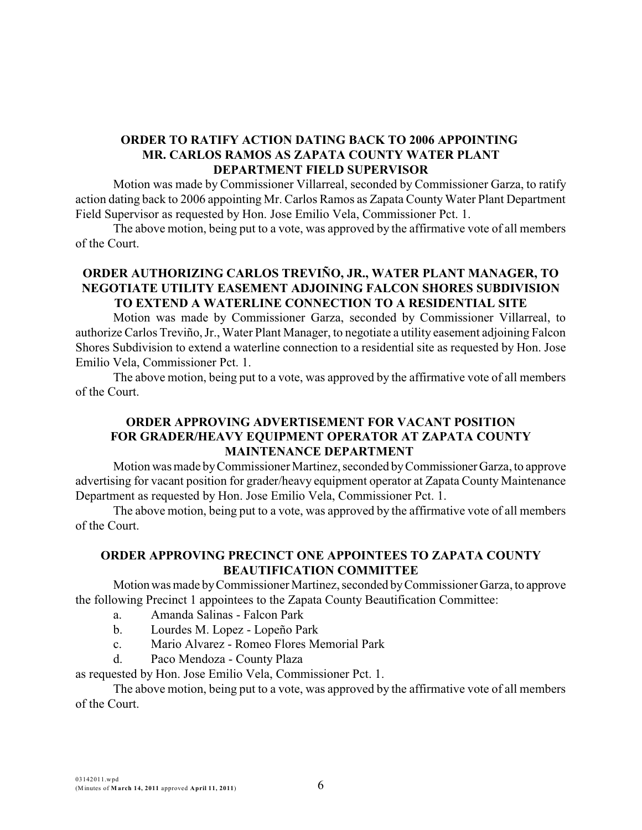# **ORDER TO RATIFY ACTION DATING BACK TO 2006 APPOINTING MR. CARLOS RAMOS AS ZAPATA COUNTY WATER PLANT DEPARTMENT FIELD SUPERVISOR**

Motion was made by Commissioner Villarreal, seconded by Commissioner Garza, to ratify action dating back to 2006 appointing Mr. Carlos Ramos as Zapata County Water Plant Department Field Supervisor as requested by Hon. Jose Emilio Vela, Commissioner Pct. 1.

The above motion, being put to a vote, was approved by the affirmative vote of all members of the Court.

# **ORDER AUTHORIZING CARLOS TREVIÑO, JR., WATER PLANT MANAGER, TO NEGOTIATE UTILITY EASEMENT ADJOINING FALCON SHORES SUBDIVISION TO EXTEND A WATERLINE CONNECTION TO A RESIDENTIAL SITE**

Motion was made by Commissioner Garza, seconded by Commissioner Villarreal, to authorize Carlos Treviño, Jr., Water Plant Manager, to negotiate a utility easement adjoining Falcon Shores Subdivision to extend a waterline connection to a residential site as requested by Hon. Jose Emilio Vela, Commissioner Pct. 1.

The above motion, being put to a vote, was approved by the affirmative vote of all members of the Court.

# **ORDER APPROVING ADVERTISEMENT FOR VACANT POSITION FOR GRADER/HEAVY EQUIPMENT OPERATOR AT ZAPATA COUNTY MAINTENANCE DEPARTMENT**

Motion was made byCommissioner Martinez, seconded byCommissionerGarza, to approve advertising for vacant position for grader/heavy equipment operator at Zapata County Maintenance Department as requested by Hon. Jose Emilio Vela, Commissioner Pct. 1.

The above motion, being put to a vote, was approved by the affirmative vote of all members of the Court.

# **ORDER APPROVING PRECINCT ONE APPOINTEES TO ZAPATA COUNTY BEAUTIFICATION COMMITTEE**

Motionwas made byCommissioner Martinez, seconded byCommissioner Garza, to approve the following Precinct 1 appointees to the Zapata County Beautification Committee:

- a. Amanda Salinas Falcon Park
- b. Lourdes M. Lopez Lopeño Park
- c. Mario Alvarez Romeo Flores Memorial Park
- d. Paco Mendoza County Plaza

as requested by Hon. Jose Emilio Vela, Commissioner Pct. 1.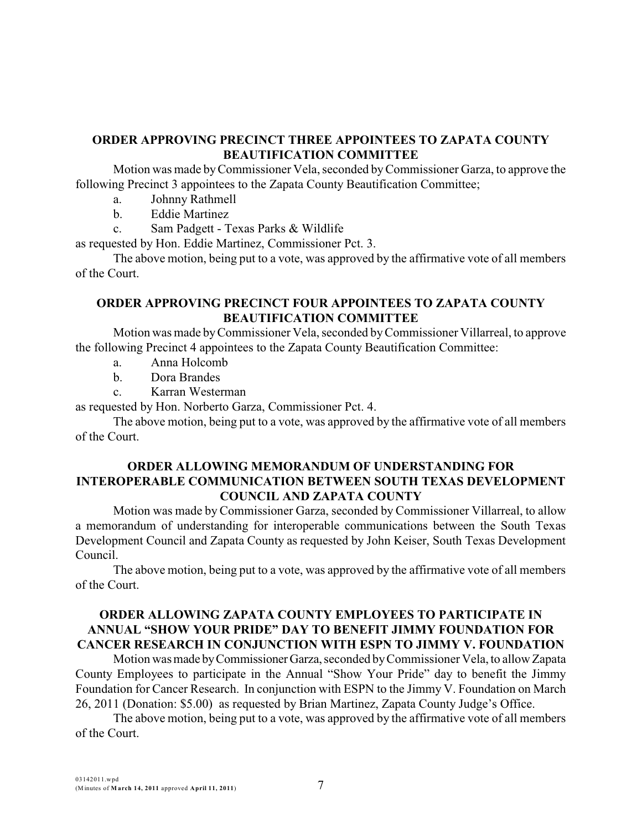# **ORDER APPROVING PRECINCT THREE APPOINTEES TO ZAPATA COUNTY BEAUTIFICATION COMMITTEE**

Motion was made byCommissioner Vela, seconded byCommissioner Garza, to approve the following Precinct 3 appointees to the Zapata County Beautification Committee;

- a. Johnny Rathmell
- b. Eddie Martinez
- c. Sam Padgett Texas Parks & Wildlife

as requested by Hon. Eddie Martinez, Commissioner Pct. 3.

The above motion, being put to a vote, was approved by the affirmative vote of all members of the Court.

#### **ORDER APPROVING PRECINCT FOUR APPOINTEES TO ZAPATA COUNTY BEAUTIFICATION COMMITTEE**

Motion was made byCommissioner Vela, seconded byCommissioner Villarreal, to approve the following Precinct 4 appointees to the Zapata County Beautification Committee:

- a. Anna Holcomb
- b. Dora Brandes
- c. Karran Westerman

as requested by Hon. Norberto Garza, Commissioner Pct. 4.

The above motion, being put to a vote, was approved by the affirmative vote of all members of the Court.

#### **ORDER ALLOWING MEMORANDUM OF UNDERSTANDING FOR INTEROPERABLE COMMUNICATION BETWEEN SOUTH TEXAS DEVELOPMENT COUNCIL AND ZAPATA COUNTY**

Motion was made by Commissioner Garza, seconded by Commissioner Villarreal, to allow a memorandum of understanding for interoperable communications between the South Texas Development Council and Zapata County as requested by John Keiser, South Texas Development Council.

The above motion, being put to a vote, was approved by the affirmative vote of all members of the Court.

# **ORDER ALLOWING ZAPATA COUNTY EMPLOYEES TO PARTICIPATE IN ANNUAL "SHOW YOUR PRIDE" DAY TO BENEFIT JIMMY FOUNDATION FOR CANCER RESEARCH IN CONJUNCTION WITH ESPN TO JIMMY V. FOUNDATION**

Motion was made by Commissioner Garza, seconded by Commissioner Vela, to allow Zapata County Employees to participate in the Annual "Show Your Pride" day to benefit the Jimmy Foundation for Cancer Research. In conjunction with ESPN to the Jimmy V. Foundation on March 26, 2011 (Donation: \$5.00) as requested by Brian Martinez, Zapata County Judge's Office.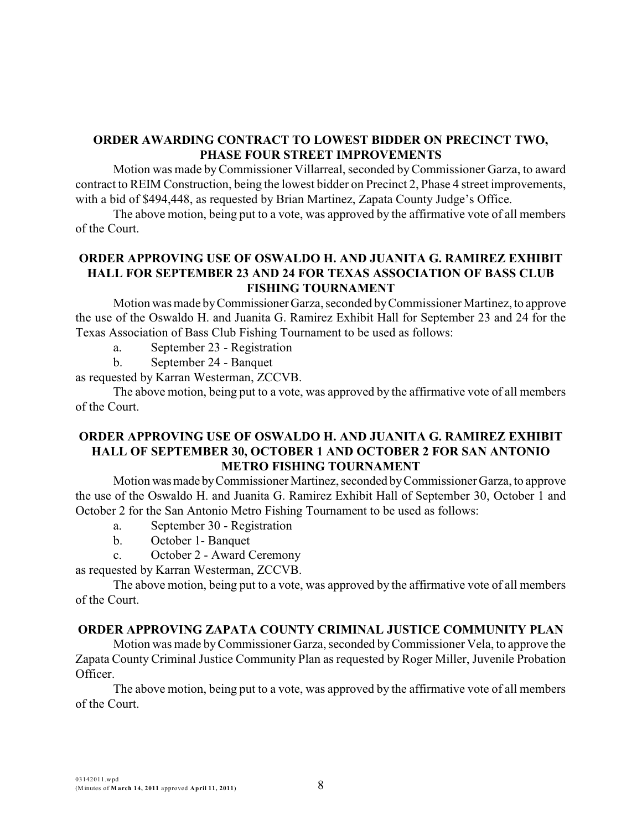# **ORDER AWARDING CONTRACT TO LOWEST BIDDER ON PRECINCT TWO, PHASE FOUR STREET IMPROVEMENTS**

Motion was made byCommissioner Villarreal, seconded byCommissioner Garza, to award contract to REIM Construction, being the lowest bidder on Precinct 2, Phase 4 street improvements, with a bid of \$494,448, as requested by Brian Martinez, Zapata County Judge's Office.

The above motion, being put to a vote, was approved by the affirmative vote of all members of the Court.

# **ORDER APPROVING USE OF OSWALDO H. AND JUANITA G. RAMIREZ EXHIBIT HALL FOR SEPTEMBER 23 AND 24 FOR TEXAS ASSOCIATION OF BASS CLUB FISHING TOURNAMENT**

Motion was made byCommissionerGarza, seconded byCommissioner Martinez, to approve the use of the Oswaldo H. and Juanita G. Ramirez Exhibit Hall for September 23 and 24 for the Texas Association of Bass Club Fishing Tournament to be used as follows:

a. September 23 - Registration

b. September 24 - Banquet

as requested by Karran Westerman, ZCCVB.

The above motion, being put to a vote, was approved by the affirmative vote of all members of the Court.

#### **ORDER APPROVING USE OF OSWALDO H. AND JUANITA G. RAMIREZ EXHIBIT HALL OF SEPTEMBER 30, OCTOBER 1 AND OCTOBER 2 FOR SAN ANTONIO METRO FISHING TOURNAMENT**

Motion wasmade byCommissioner Martinez, seconded byCommissioner Garza, to approve the use of the Oswaldo H. and Juanita G. Ramirez Exhibit Hall of September 30, October 1 and October 2 for the San Antonio Metro Fishing Tournament to be used as follows:

- a. September 30 Registration
- b. October 1- Banquet
- c. October 2 Award Ceremony

as requested by Karran Westerman, ZCCVB.

The above motion, being put to a vote, was approved by the affirmative vote of all members of the Court.

#### **ORDER APPROVING ZAPATA COUNTY CRIMINAL JUSTICE COMMUNITY PLAN**

Motion was made byCommissioner Garza, seconded byCommissioner Vela, to approve the Zapata County Criminal Justice Community Plan as requested by Roger Miller, Juvenile Probation Officer.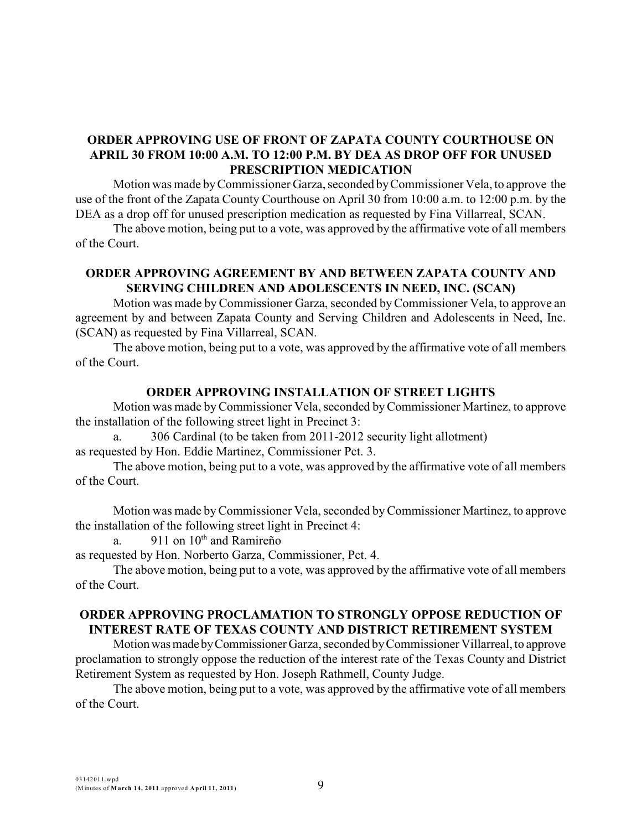# **ORDER APPROVING USE OF FRONT OF ZAPATA COUNTY COURTHOUSE ON APRIL 30 FROM 10:00 A.M. TO 12:00 P.M. BY DEA AS DROP OFF FOR UNUSED PRESCRIPTION MEDICATION**

Motion was made byCommissioner Garza, seconded byCommissioner Vela, to approve the use of the front of the Zapata County Courthouse on April 30 from 10:00 a.m. to 12:00 p.m. by the DEA as a drop off for unused prescription medication as requested by Fina Villarreal, SCAN.

The above motion, being put to a vote, was approved by the affirmative vote of all members of the Court.

# **ORDER APPROVING AGREEMENT BY AND BETWEEN ZAPATA COUNTY AND SERVING CHILDREN AND ADOLESCENTS IN NEED, INC. (SCAN)**

Motion was made byCommissioner Garza, seconded byCommissioner Vela, to approve an agreement by and between Zapata County and Serving Children and Adolescents in Need, Inc. (SCAN) as requested by Fina Villarreal, SCAN.

The above motion, being put to a vote, was approved by the affirmative vote of all members of the Court.

#### **ORDER APPROVING INSTALLATION OF STREET LIGHTS**

Motion was made byCommissioner Vela, seconded byCommissioner Martinez, to approve the installation of the following street light in Precinct 3:

306 Cardinal (to be taken from 2011-2012 security light allotment) as requested by Hon. Eddie Martinez, Commissioner Pct. 3.

The above motion, being put to a vote, was approved by the affirmative vote of all members of the Court.

Motion was made byCommissioner Vela, seconded byCommissioner Martinez, to approve the installation of the following street light in Precinct 4:

a. 911 on  $10<sup>th</sup>$  and Ramireño

as requested by Hon. Norberto Garza, Commissioner, Pct. 4.

The above motion, being put to a vote, was approved by the affirmative vote of all members of the Court.

#### **ORDER APPROVING PROCLAMATION TO STRONGLY OPPOSE REDUCTION OF INTEREST RATE OF TEXAS COUNTY AND DISTRICT RETIREMENT SYSTEM**

Motion was made by Commissioner Garza, seconded by Commissioner Villarreal, to approve proclamation to strongly oppose the reduction of the interest rate of the Texas County and District Retirement System as requested by Hon. Joseph Rathmell, County Judge.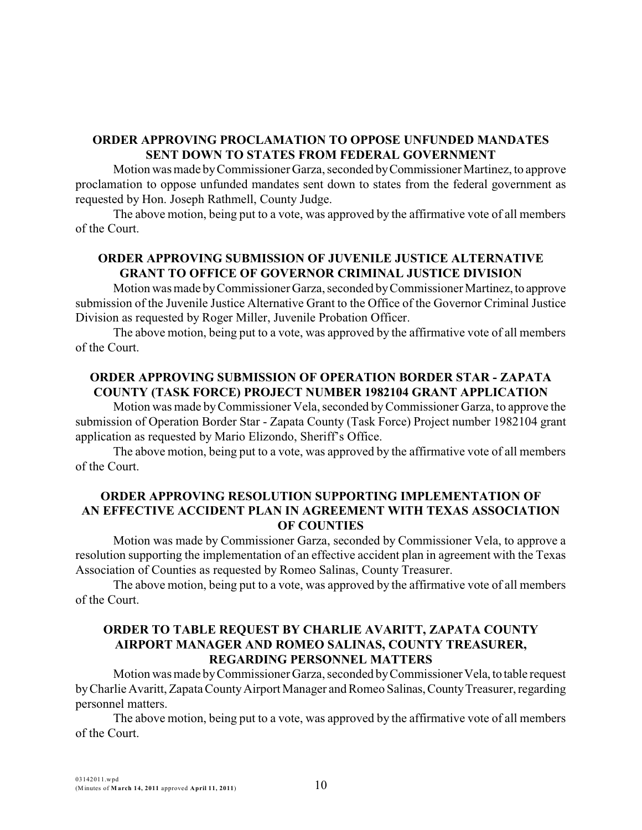# **ORDER APPROVING PROCLAMATION TO OPPOSE UNFUNDED MANDATES SENT DOWN TO STATES FROM FEDERAL GOVERNMENT**

Motion was made byCommissioner Garza, seconded byCommissioner Martinez, to approve proclamation to oppose unfunded mandates sent down to states from the federal government as requested by Hon. Joseph Rathmell, County Judge.

The above motion, being put to a vote, was approved by the affirmative vote of all members of the Court.

# **ORDER APPROVING SUBMISSION OF JUVENILE JUSTICE ALTERNATIVE GRANT TO OFFICE OF GOVERNOR CRIMINAL JUSTICE DIVISION**

Motion was made byCommissioner Garza, seconded byCommissioner Martinez,to approve submission of the Juvenile Justice Alternative Grant to the Office of the Governor Criminal Justice Division as requested by Roger Miller, Juvenile Probation Officer.

The above motion, being put to a vote, was approved by the affirmative vote of all members of the Court.

# **ORDER APPROVING SUBMISSION OF OPERATION BORDER STAR - ZAPATA COUNTY (TASK FORCE) PROJECT NUMBER 1982104 GRANT APPLICATION**

Motion was made byCommissioner Vela, seconded byCommissioner Garza, to approve the submission of Operation Border Star - Zapata County (Task Force) Project number 1982104 grant application as requested by Mario Elizondo, Sheriff's Office.

The above motion, being put to a vote, was approved by the affirmative vote of all members of the Court.

# **ORDER APPROVING RESOLUTION SUPPORTING IMPLEMENTATION OF AN EFFECTIVE ACCIDENT PLAN IN AGREEMENT WITH TEXAS ASSOCIATION OF COUNTIES**

Motion was made by Commissioner Garza, seconded by Commissioner Vela, to approve a resolution supporting the implementation of an effective accident plan in agreement with the Texas Association of Counties as requested by Romeo Salinas, County Treasurer.

The above motion, being put to a vote, was approved by the affirmative vote of all members of the Court.

#### **ORDER TO TABLE REQUEST BY CHARLIE AVARITT, ZAPATA COUNTY AIRPORT MANAGER AND ROMEO SALINAS, COUNTY TREASURER, REGARDING PERSONNEL MATTERS**

Motion was made by Commissioner Garza, seconded by Commissioner Vela, to table request by Charlie Avaritt, Zapata County Airport Manager and Romeo Salinas, County Treasurer, regarding personnel matters.